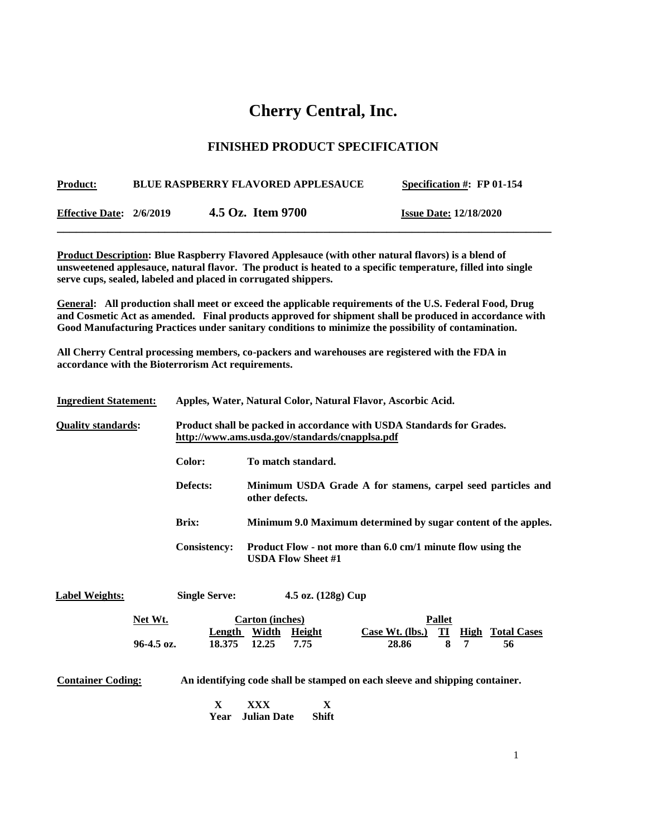## **Cherry Central, Inc.**

## **FINISHED PRODUCT SPECIFICATION**

| <u>Product:</u>          | <b>BLUE RASPBERRY FLAVORED APPLESAUCE</b> | Specification #: $FP 01-154$  |
|--------------------------|-------------------------------------------|-------------------------------|
| Effective Date: 2/6/2019 | 4.5 Oz. Item 9700                         | <b>Issue Date: 12/18/2020</b> |

**Product Description: Blue Raspberry Flavored Applesauce (with other natural flavors) is a blend of unsweetened applesauce, natural flavor. The product is heated to a specific temperature, filled into single serve cups, sealed, labeled and placed in corrugated shippers.**

**General: All production shall meet or exceed the applicable requirements of the U.S. Federal Food, Drug and Cosmetic Act as amended. Final products approved for shipment shall be produced in accordance with Good Manufacturing Practices under sanitary conditions to minimize the possibility of contamination.**

**All Cherry Central processing members, co-packers and warehouses are registered with the FDA in accordance with the Bioterrorism Act requirements.** 

| <b>Ingredient Statement:</b> |              |                         |                                                                                                                         | Apples, Water, Natural Color, Natural Flavor, Ascorbic Acid. |                                                                |
|------------------------------|--------------|-------------------------|-------------------------------------------------------------------------------------------------------------------------|--------------------------------------------------------------|----------------------------------------------------------------|
| <b>Quality standards:</b>    |              |                         | Product shall be packed in accordance with USDA Standards for Grades.<br>http://www.ams.usda.gov/standards/cnapplsa.pdf |                                                              |                                                                |
|                              |              | Color:                  | To match standard.                                                                                                      |                                                              |                                                                |
|                              |              | Defects:                | other defects.                                                                                                          |                                                              | Minimum USDA Grade A for stamens, carpel seed particles and    |
|                              |              | <b>Brix:</b>            |                                                                                                                         |                                                              | Minimum 9.0 Maximum determined by sugar content of the apples. |
|                              |              | <b>Consistency:</b>     | <b>USDA Flow Sheet #1</b>                                                                                               | Product Flow - not more than 6.0 cm/1 minute flow using the  |                                                                |
| <b>Label Weights:</b>        |              | <b>Single Serve:</b>    | 4.5 oz. (128g) Cup                                                                                                      |                                                              |                                                                |
|                              | Net Wt.      |                         | Carton (inches)                                                                                                         | <b>Pallet</b>                                                | $\mathbf{I}$<br><b>High</b>                                    |
|                              | $96-4.5$ oz. | <b>Length</b><br>18.375 | <b>Width</b><br><b>Height</b><br>12.25<br>7.75                                                                          | Case Wt. $(lbs.)$<br>28.86                                   | <b>Total Cases</b><br>8<br>$\overline{7}$<br>56                |

**Container Coding: An identifying code shall be stamped on each sleeve and shipping container.**

 **X XXX X Year Julian Date Shift**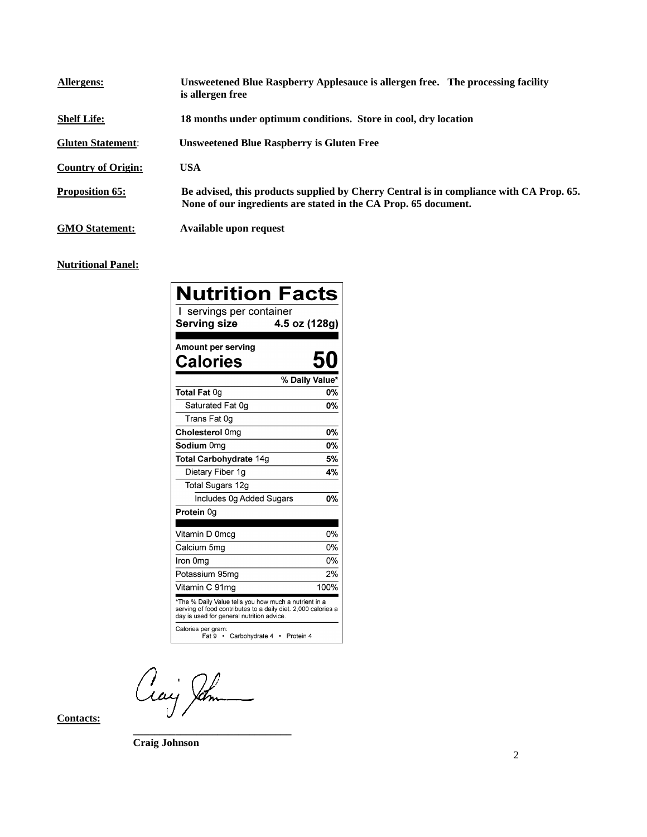| Allergens:                | Unsweetened Blue Raspberry Applesauce is allergen free. The processing facility<br>is allergen free                                                        |
|---------------------------|------------------------------------------------------------------------------------------------------------------------------------------------------------|
| <b>Shelf Life:</b>        | 18 months under optimum conditions. Store in cool, dry location                                                                                            |
| <b>Gluten Statement:</b>  | <b>Unsweetened Blue Raspberry is Gluten Free</b>                                                                                                           |
| <b>Country of Origin:</b> | USA                                                                                                                                                        |
| <b>Proposition 65:</b>    | Be advised, this products supplied by Cherry Central is in compliance with CA Prop. 65.<br>None of our ingredients are stated in the CA Prop. 65 document. |
| <b>GMO Statement:</b>     | Available upon request                                                                                                                                     |

## **Nutritional Panel:**

| <b>Nutrition Facts</b>                                                                                                                                              |                |
|---------------------------------------------------------------------------------------------------------------------------------------------------------------------|----------------|
| servings per container                                                                                                                                              |                |
| <b>Serving size</b>                                                                                                                                                 | 4.5 oz (128g)  |
|                                                                                                                                                                     |                |
| Amount per serving                                                                                                                                                  |                |
| Calories                                                                                                                                                            | 50             |
|                                                                                                                                                                     | % Daily Value* |
| Total Fat 0g                                                                                                                                                        | 0%             |
| Saturated Fat 0g                                                                                                                                                    | <b>0%</b>      |
| Trans Fat 0g                                                                                                                                                        |                |
| Cholesterol 0mg                                                                                                                                                     | 0%             |
| Sodium 0mg                                                                                                                                                          | <b>0%</b>      |
| <b>Total Carbohydrate 14g</b>                                                                                                                                       | 5%             |
| Dietary Fiber 1g                                                                                                                                                    | 4%             |
| Total Sugars 12g                                                                                                                                                    |                |
| Includes 0g Added Sugars                                                                                                                                            | 0%             |
| Protein 0g                                                                                                                                                          |                |
| Vitamin D 0mcg                                                                                                                                                      | 0%             |
| Calcium 5mg                                                                                                                                                         | 0%             |
| Iron 0mg                                                                                                                                                            | 0%             |
| Potassium 95mg                                                                                                                                                      | 2%             |
| Vitamin C 91mg                                                                                                                                                      | 100%           |
| *The % Daily Value tells you how much a nutrient in a<br>serving of food contributes to a daily diet. 2,000 calories a<br>day is used for general nutrition advice. |                |
| Calories per gram:<br>Fat 9 • Carbohydrate 4 •                                                                                                                      | Protein 4      |

Craig Jahn

**\_\_\_\_\_\_\_\_\_\_\_\_\_\_\_\_\_\_\_\_\_\_\_\_\_\_\_\_\_\_**

**Contacts:**

**Craig Johnson**